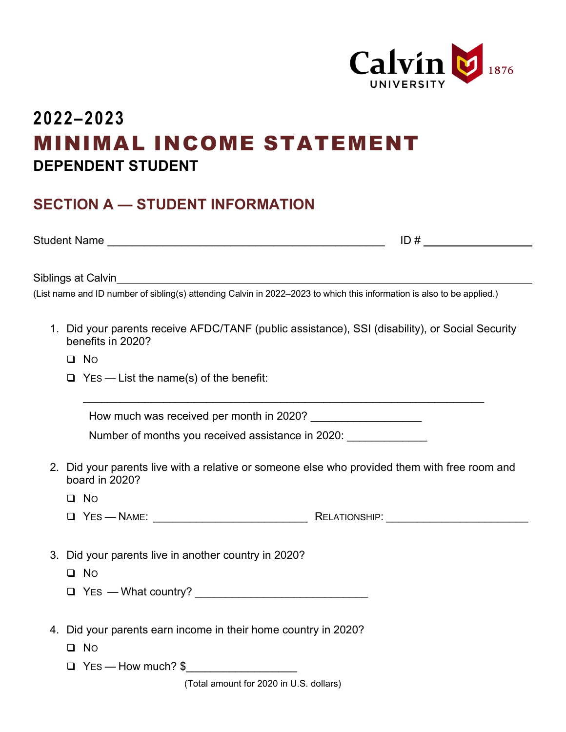

## **2022–2023** MINIMAL INCOME STATEMENT **DEPENDENT STUDENT**

## **SECTION A — STUDENT INFORMATION**

Student Name \_\_\_\_\_\_\_\_\_\_\_\_\_\_\_\_\_\_\_\_\_\_\_\_\_\_\_\_\_\_\_\_\_\_\_\_\_\_\_\_\_\_\_\_\_ ID #

Siblings at Calvin

(List name and ID number of sibling(s) attending Calvin in 2022–2023 to which this information is also to be applied.)

1. Did your parents receive AFDC/TANF (public assistance), SSI (disability), or Social Security benefits in 2020?

\_\_\_\_\_\_\_\_\_\_\_\_\_\_\_\_\_\_\_\_\_\_\_\_\_\_\_\_\_\_\_\_\_\_\_\_\_\_\_\_\_\_\_\_\_\_\_\_\_\_\_\_\_\_\_\_\_\_\_\_\_\_\_\_\_

 $\Box$  No

 $\Box$  Yes — List the name(s) of the benefit:

How much was received per month in 2020?

Number of months you received assistance in 2020:

2. Did your parents live with a relative or someone else who provided them with free room and board in 2020?

 $\Box$  No

- YES NAME: \_\_\_\_\_\_\_\_\_\_\_\_\_\_\_\_\_\_\_\_\_\_\_\_\_ RELATIONSHIP: \_\_\_\_\_\_\_\_\_\_\_\_\_\_\_\_\_\_\_\_\_\_\_
- 3. Did your parents live in another country in 2020?

**Q** No

- $\Box$  Yes What country?
- 4. Did your parents earn income in their home country in 2020?

 $\Box$  No

 $\Box$  Yes — How much?  $\$\$ 

(Total amount for 2020 in U.S. dollars)